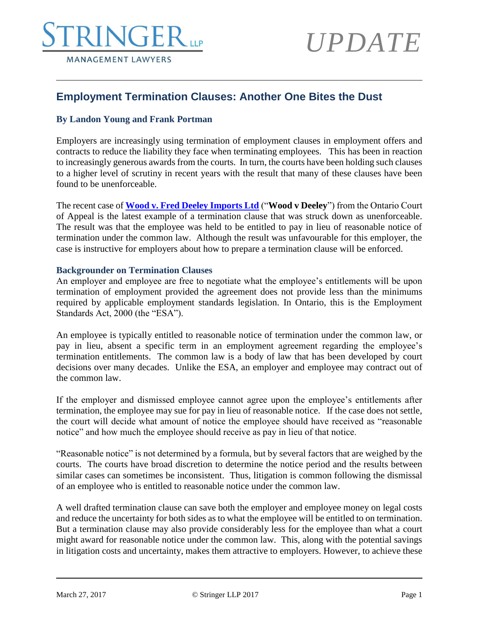## **RINGERTH MANAGEMENT LAWYERS**

# *UPDATE*

### **Employment Termination Clauses: Another One Bites the Dust**

#### **By Landon Young and Frank Portman**

Employers are increasingly using termination of employment clauses in employment offers and contracts to reduce the liability they face when terminating employees. This has been in reaction to increasingly generous awards from the courts. In turn, the courts have been holding such clauses to a higher level of scrutiny in recent years with the result that many of these clauses have been found to be unenforceable.

The recent case of **[Wood v. Fred Deeley Imports Ltd](http://canlii.ca/t/gxn69)** ("**Wood v Deeley**") from the Ontario Court of Appeal is the latest example of a termination clause that was struck down as unenforceable. The result was that the employee was held to be entitled to pay in lieu of reasonable notice of termination under the common law. Although the result was unfavourable for this employer, the case is instructive for employers about how to prepare a termination clause will be enforced.

#### **Backgrounder on Termination Clauses**

An employer and employee are free to negotiate what the employee's entitlements will be upon termination of employment provided the agreement does not provide less than the minimums required by applicable employment standards legislation. In Ontario, this is the Employment Standards Act, 2000 (the "ESA").

An employee is typically entitled to reasonable notice of termination under the common law, or pay in lieu, absent a specific term in an employment agreement regarding the employee's termination entitlements. The common law is a body of law that has been developed by court decisions over many decades. Unlike the ESA, an employer and employee may contract out of the common law.

If the employer and dismissed employee cannot agree upon the employee's entitlements after termination, the employee may sue for pay in lieu of reasonable notice. If the case does not settle, the court will decide what amount of notice the employee should have received as "reasonable notice" and how much the employee should receive as pay in lieu of that notice.

"Reasonable notice" is not determined by a formula, but by several factors that are weighed by the courts. The courts have broad discretion to determine the notice period and the results between similar cases can sometimes be inconsistent. Thus, litigation is common following the dismissal of an employee who is entitled to reasonable notice under the common law.

A well drafted termination clause can save both the employer and employee money on legal costs and reduce the uncertainty for both sides as to what the employee will be entitled to on termination. But a termination clause may also provide considerably less for the employee than what a court might award for reasonable notice under the common law. This, along with the potential savings in litigation costs and uncertainty, makes them attractive to employers. However, to achieve these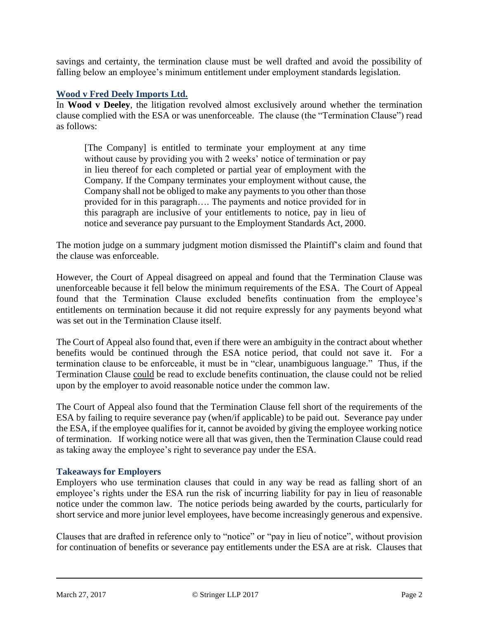savings and certainty, the termination clause must be well drafted and avoid the possibility of falling below an employee's minimum entitlement under employment standards legislation.

#### **Wood v Fred Deely Imports Ltd.**

In **Wood v Deeley**, the litigation revolved almost exclusively around whether the termination clause complied with the ESA or was unenforceable. The clause (the "Termination Clause") read as follows:

[The Company] is entitled to terminate your employment at any time without cause by providing you with 2 weeks' notice of termination or pay in lieu thereof for each completed or partial year of employment with the Company. If the Company terminates your employment without cause, the Company shall not be obliged to make any payments to you other than those provided for in this paragraph…. The payments and notice provided for in this paragraph are inclusive of your entitlements to notice, pay in lieu of notice and severance pay pursuant to the Employment Standards Act, 2000.

The motion judge on a summary judgment motion dismissed the Plaintiff's claim and found that the clause was enforceable.

However, the Court of Appeal disagreed on appeal and found that the Termination Clause was unenforceable because it fell below the minimum requirements of the ESA. The Court of Appeal found that the Termination Clause excluded benefits continuation from the employee's entitlements on termination because it did not require expressly for any payments beyond what was set out in the Termination Clause itself.

The Court of Appeal also found that, even if there were an ambiguity in the contract about whether benefits would be continued through the ESA notice period, that could not save it. For a termination clause to be enforceable, it must be in "clear, unambiguous language." Thus, if the Termination Clause could be read to exclude benefits continuation, the clause could not be relied upon by the employer to avoid reasonable notice under the common law.

The Court of Appeal also found that the Termination Clause fell short of the requirements of the ESA by failing to require severance pay (when/if applicable) to be paid out. Severance pay under the ESA, if the employee qualifies for it, cannot be avoided by giving the employee working notice of termination. If working notice were all that was given, then the Termination Clause could read as taking away the employee's right to severance pay under the ESA.

#### **Takeaways for Employers**

Employers who use termination clauses that could in any way be read as falling short of an employee's rights under the ESA run the risk of incurring liability for pay in lieu of reasonable notice under the common law. The notice periods being awarded by the courts, particularly for short service and more junior level employees, have become increasingly generous and expensive.

Clauses that are drafted in reference only to "notice" or "pay in lieu of notice", without provision for continuation of benefits or severance pay entitlements under the ESA are at risk. Clauses that